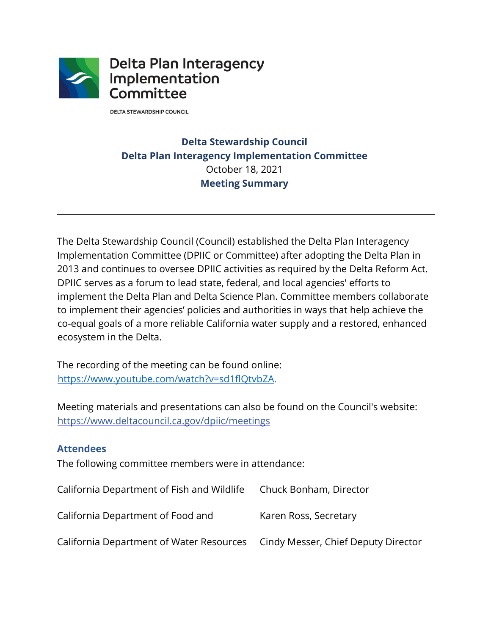

**DELTA STEWARDSHIP COUNCIL** 

# **Delta Stewardship Council Delta Plan Interagency Implementation Committee** October 18, 2021 **Meeting Summary**

The Delta Stewardship Council (Council) established the Delta Plan Interagency Implementation Committee (DPIIC or Committee) after adopting the Delta Plan in 2013 and continues to oversee DPIIC activities as required by the Delta Reform Act. DPIIC serves as a forum to lead state, federal, and local agencies' efforts to implement the Delta Plan and Delta Science Plan. Committee members collaborate to implement their agencies' policies and authorities in ways that help achieve the co-equal goals of a more reliable California water supply and a restored, enhanced ecosystem in the Delta.

The recording of the meeting can be found online: [https://www.youtube.com/watch?v=sd1flQtvbZA.](https://www.youtube.com/watch?v=sd1flQtvbZA)

Meeting materials and presentations can also be found on the Council's website: <https://www.deltacouncil.ca.gov/dpiic/meetings>

#### **Attendees**

The following committee members were in attendance:

| California Department of Fish and Wildlife                                   | Chuck Bonham, Director |
|------------------------------------------------------------------------------|------------------------|
| California Department of Food and                                            | Karen Ross, Secretary  |
| California Department of Water Resources Cindy Messer, Chief Deputy Director |                        |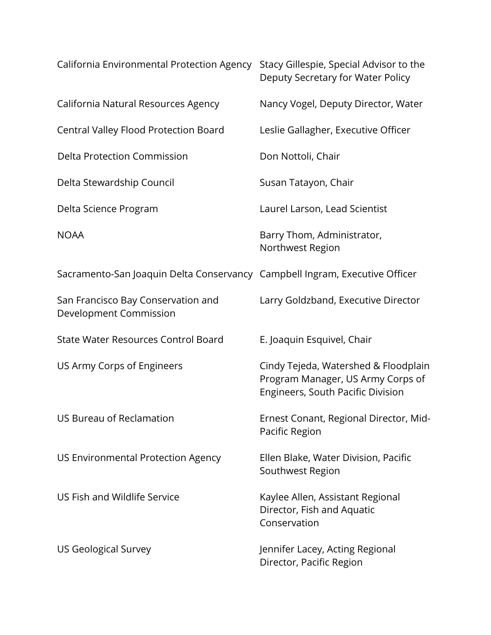| California Environmental Protection Agency                                  | Stacy Gillespie, Special Advisor to the<br>Deputy Secretary for Water Policy                                          |
|-----------------------------------------------------------------------------|-----------------------------------------------------------------------------------------------------------------------|
| California Natural Resources Agency                                         | Nancy Vogel, Deputy Director, Water                                                                                   |
| Central Valley Flood Protection Board                                       | Leslie Gallagher, Executive Officer                                                                                   |
| <b>Delta Protection Commission</b>                                          | Don Nottoli, Chair                                                                                                    |
| Delta Stewardship Council                                                   | Susan Tatayon, Chair                                                                                                  |
| Delta Science Program                                                       | Laurel Larson, Lead Scientist                                                                                         |
| <b>NOAA</b>                                                                 | Barry Thom, Administrator,<br>Northwest Region                                                                        |
| Sacramento-San Joaquin Delta Conservancy Campbell Ingram, Executive Officer |                                                                                                                       |
| San Francisco Bay Conservation and<br>Development Commission                | Larry Goldzband, Executive Director                                                                                   |
| <b>State Water Resources Control Board</b>                                  | E. Joaquin Esquivel, Chair                                                                                            |
| US Army Corps of Engineers                                                  | Cindy Tejeda, Watershed & Floodplain<br>Program Manager, US Army Corps of<br><b>Engineers, South Pacific Division</b> |
| <b>US Bureau of Reclamation</b>                                             | Ernest Conant, Regional Director, Mid-<br>Pacific Region                                                              |
| US Environmental Protection Agency                                          | Ellen Blake, Water Division, Pacific<br>Southwest Region                                                              |
| US Fish and Wildlife Service                                                | Kaylee Allen, Assistant Regional<br>Director, Fish and Aquatic<br>Conservation                                        |
| <b>US Geological Survey</b>                                                 | Jennifer Lacey, Acting Regional<br>Director, Pacific Region                                                           |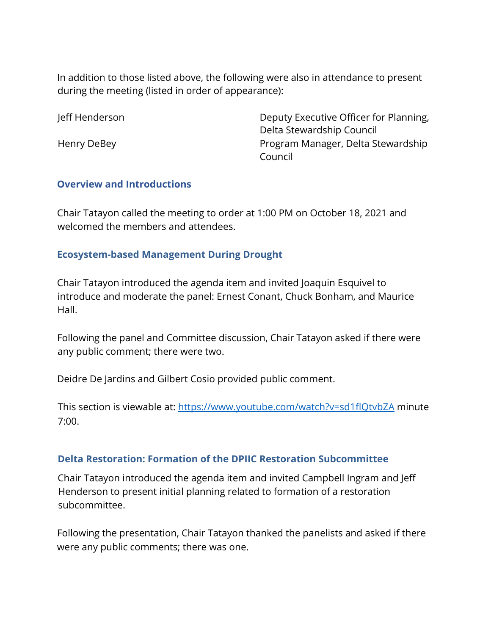In addition to those listed above, the following were also in attendance to present during the meeting (listed in order of appearance):

Jeff Henderson Deputy Executive Officer for Planning, Delta Stewardship Council Henry DeBey **Program Manager, Delta Stewardship** Council

#### **Overview and Introductions**

Chair Tatayon called the meeting to order at 1:00 PM on October 18, 2021 and welcomed the members and attendees.

# **Ecosystem-based Management During Drought**

Chair Tatayon introduced the agenda item and invited Joaquin Esquivel to introduce and moderate the panel: Ernest Conant, Chuck Bonham, and Maurice Hall.

Following the panel and Committee discussion, Chair Tatayon asked if there were any public comment; there were two.

Deidre De Jardins and Gilbert Cosio provided public comment.

This section is viewable at:<https://www.youtube.com/watch?v=sd1flQtvbZA> minute 7:00.

# **Delta Restoration: Formation of the DPIIC Restoration Subcommittee**

Chair Tatayon introduced the agenda item and invited Campbell Ingram and Jeff Henderson to present initial planning related to formation of a restoration subcommittee.

Following the presentation, Chair Tatayon thanked the panelists and asked if there were any public comments; there was one.